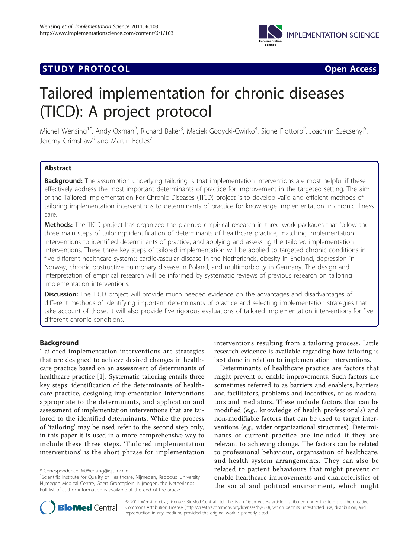

# **STUDY PROTOCOL CONSUMING ACCESS**

# Tailored implementation for chronic diseases (TICD): A project protocol

Michel Wensing<sup>1\*</sup>, Andy Oxman<sup>2</sup>, Richard Baker<sup>3</sup>, Maciek Godycki-Cwirko<sup>4</sup>, Signe Flottorp<sup>2</sup>, Joachim Szecsenyi<sup>5</sup> , Jeremy Grimshaw<sup>6</sup> and Martin Eccles<sup>7</sup>

# Abstract

Background: The assumption underlying tailoring is that implementation interventions are most helpful if these effectively address the most important determinants of practice for improvement in the targeted setting. The aim of the Tailored Implementation For Chronic Diseases (TICD) project is to develop valid and efficient methods of tailoring implementation interventions to determinants of practice for knowledge implementation in chronic illness care.

Methods: The TICD project has organized the planned empirical research in three work packages that follow the three main steps of tailoring: identification of determinants of healthcare practice, matching implementation interventions to identified determinants of practice, and applying and assessing the tailored implementation interventions. These three key steps of tailored implementation will be applied to targeted chronic conditions in five different healthcare systems: cardiovascular disease in the Netherlands, obesity in England, depression in Norway, chronic obstructive pulmonary disease in Poland, and multimorbidity in Germany. The design and interpretation of empirical research will be informed by systematic reviews of previous research on tailoring implementation interventions.

**Discussion:** The TICD project will provide much needed evidence on the advantages and disadvantages of different methods of identifying important determinants of practice and selecting implementation strategies that take account of those. It will also provide five rigorous evaluations of tailored implementation interventions for five different chronic conditions.

# Background

Tailored implementation interventions are strategies that are designed to achieve desired changes in healthcare practice based on an assessment of determinants of healthcare practice [\[1](#page-7-0)]. Systematic tailoring entails three key steps: identification of the determinants of healthcare practice, designing implementation interventions appropriate to the determinants, and application and assessment of implementation interventions that are tailored to the identified determinants. While the process of 'tailoring' may be used refer to the second step only, in this paper it is used in a more comprehensive way to include these three steps. 'Tailored implementation interventions' is the short phrase for implementation

interventions resulting from a tailoring process. Little research evidence is available regarding how tailoring is best done in relation to implementation interventions.

Determinants of healthcare practice are factors that might prevent or enable improvements. Such factors are sometimes referred to as barriers and enablers, barriers and facilitators, problems and incentives, or as moderators and mediators. These include factors that can be modified (e.g., knowledge of health professionals) and non-modifiable factors that can be used to target interventions (e.g., wider organizational structures). Determinants of current practice are included if they are relevant to achieving change. The factors can be related to professional behaviour, organisation of healthcare, and health system arrangements. They can also be related to patient behaviours that might prevent or enable healthcare improvements and characteristics of the social and political environment, which might



© 2011 Wensing et al; licensee BioMed Central Ltd. This is an Open Access article distributed under the terms of the Creative Commons Attribution License [\(http://creativecommons.org/licenses/by/2.0](http://creativecommons.org/licenses/by/2.0)), which permits unrestricted use, distribution, and reproduction in any medium, provided the original work is properly cited.

<sup>\*</sup> Correspondence: [M.Wensing@iq.umcn.nl](mailto:M.Wensing@iq.umcn.nl)

<sup>&</sup>lt;sup>1</sup>Scientific Institute for Quality of Healthcare, Nijmegen, Radboud University Nijmegen Medical Centre, Geert Grooteplein, Nijmegen, the Netherlands Full list of author information is available at the end of the article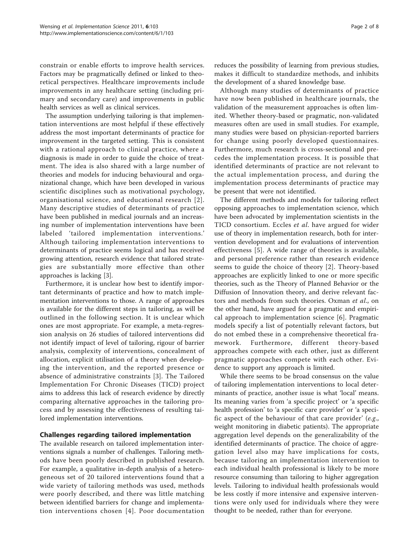constrain or enable efforts to improve health services. Factors may be pragmatically defined or linked to theoretical perspectives. Healthcare improvements include improvements in any healthcare setting (including primary and secondary care) and improvements in public health services as well as clinical services.

The assumption underlying tailoring is that implementation interventions are most helpful if these effectively address the most important determinants of practice for improvement in the targeted setting. This is consistent with a rational approach to clinical practice, where a diagnosis is made in order to guide the choice of treatment. The idea is also shared with a large number of theories and models for inducing behavioural and organizational change, which have been developed in various scientific disciplines such as motivational psychology, organisational science, and educational research [[2\]](#page-7-0). Many descriptive studies of determinants of practice have been published in medical journals and an increasing number of implementation interventions have been labeled 'tailored implementation interventions.' Although tailoring implementation interventions to determinants of practice seems logical and has received growing attention, research evidence that tailored strategies are substantially more effective than other approaches is lacking [\[3](#page-7-0)].

Furthermore, it is unclear how best to identify important determinants of practice and how to match implementation interventions to those. A range of approaches is available for the different steps in tailoring, as will be outlined in the following section. It is unclear which ones are most appropriate. For example, a meta-regression analysis on 26 studies of tailored interventions did not identify impact of level of tailoring, rigour of barrier analysis, complexity of interventions, concealment of allocation, explicit utilisation of a theory when developing the intervention, and the reported presence or absence of administrative constraints [[3](#page-7-0)]. The Tailored Implementation For Chronic Diseases (TICD) project aims to address this lack of research evidence by directly comparing alternative approaches in the tailoring process and by assessing the effectiveness of resulting tailored implementation interventions.

# Challenges regarding tailored implementation

The available research on tailored implementation interventions signals a number of challenges. Tailoring methods have been poorly described in published research. For example, a qualitative in-depth analysis of a heterogeneous set of 20 tailored interventions found that a wide variety of tailoring methods was used, methods were poorly described, and there was little matching between identified barriers for change and implementation interventions chosen [[4](#page-7-0)]. Poor documentation reduces the possibility of learning from previous studies, makes it difficult to standardize methods, and inhibits the development of a shared knowledge base.

Although many studies of determinants of practice have now been published in healthcare journals, the validation of the measurement approaches is often limited. Whether theory-based or pragmatic, non-validated measures often are used in small studies. For example, many studies were based on physician-reported barriers for change using poorly developed questionnaires. Furthermore, much research is cross-sectional and precedes the implementation process. It is possible that identified determinants of practice are not relevant to the actual implementation process, and during the implementation process determinants of practice may be present that were not identified.

The different methods and models for tailoring reflect opposing approaches to implementation science, which have been advocated by implementation scientists in the TICD consortium. Eccles et al. have argued for wider use of theory in implementation research, both for intervention development and for evaluations of intervention effectiveness [[5](#page-7-0)]. A wide range of theories is available, and personal preference rather than research evidence seems to guide the choice of theory [[2](#page-7-0)]. Theory-based approaches are explicitly linked to one or more specific theories, such as the Theory of Planned Behavior or the Diffusion of Innovation theory, and derive relevant factors and methods from such theories. Oxman et al., on the other hand, have argued for a pragmatic and empirical approach to implementation science [[6](#page-7-0)]. Pragmatic models specify a list of potentially relevant factors, but do not embed these in a comprehensive theoretical framework. Furthermore, different theory-based approaches compete with each other, just as different pragmatic approaches compete with each other. Evidence to support any approach is limited.

While there seems to be broad consensus on the value of tailoring implementation interventions to local determinants of practice, another issue is what 'local' means. Its meaning varies from 'a specific project' or 'a specific health profession' to 'a specific care provider' or 'a specific aspect of the behaviour of that care provider' (e.g., weight monitoring in diabetic patients). The appropriate aggregation level depends on the generalizability of the identified determinants of practice. The choice of aggregation level also may have implications for costs, because tailoring an implementation intervention to each individual health professional is likely to be more resource consuming than tailoring to higher aggregation levels. Tailoring to individual health professionals would be less costly if more intensive and expensive interventions were only used for individuals where they were thought to be needed, rather than for everyone.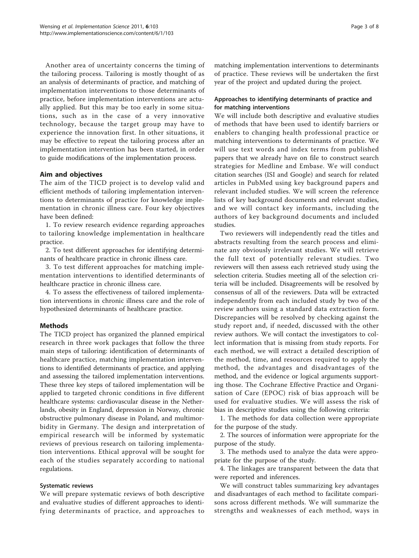Another area of uncertainty concerns the timing of the tailoring process. Tailoring is mostly thought of as an analysis of determinants of practice, and matching of implementation interventions to those determinants of practice, before implementation interventions are actually applied. But this may be too early in some situations, such as in the case of a very innovative technology, because the target group may have to experience the innovation first. In other situations, it may be effective to repeat the tailoring process after an implementation intervention has been started, in order to guide modifications of the implementation process.

# Aim and objectives

The aim of the TICD project is to develop valid and efficient methods of tailoring implementation interventions to determinants of practice for knowledge implementation in chronic illness care. Four key objectives have been defined:

1. To review research evidence regarding approaches to tailoring knowledge implementation in healthcare practice.

2. To test different approaches for identifying determinants of healthcare practice in chronic illness care.

3. To test different approaches for matching implementation interventions to identified determinants of healthcare practice in chronic illness care.

4. To assess the effectiveness of tailored implementation interventions in chronic illness care and the role of hypothesized determinants of healthcare practice.

# Methods

The TICD project has organized the planned empirical research in three work packages that follow the three main steps of tailoring: identification of determinants of healthcare practice, matching implementation interventions to identified determinants of practice, and applying and assessing the tailored implementation interventions. These three key steps of tailored implementation will be applied to targeted chronic conditions in five different healthcare systems: cardiovascular disease in the Netherlands, obesity in England, depression in Norway, chronic obstructive pulmonary disease in Poland, and multimorbidity in Germany. The design and interpretation of empirical research will be informed by systematic reviews of previous research on tailoring implementation interventions. Ethical approval will be sought for each of the studies separately according to national regulations.

#### Systematic reviews

We will prepare systematic reviews of both descriptive and evaluative studies of different approaches to identifying determinants of practice, and approaches to

matching implementation interventions to determinants of practice. These reviews will be undertaken the first year of the project and updated during the project.

## Approaches to identifying determinants of practice and for matching interventions

We will include both descriptive and evaluative studies of methods that have been used to identify barriers or enablers to changing health professional practice or matching interventions to determinants of practice. We will use text words and index terms from published papers that we already have on file to construct search strategies for Medline and Embase. We will conduct citation searches (ISI and Google) and search for related articles in PubMed using key background papers and relevant included studies. We will screen the reference lists of key background documents and relevant studies, and we will contact key informants, including the authors of key background documents and included studies.

Two reviewers will independently read the titles and abstracts resulting from the search process and eliminate any obviously irrelevant studies. We will retrieve the full text of potentially relevant studies. Two reviewers will then assess each retrieved study using the selection criteria. Studies meeting all of the selection criteria will be included. Disagreements will be resolved by consensus of all of the reviewers. Data will be extracted independently from each included study by two of the review authors using a standard data extraction form. Discrepancies will be resolved by checking against the study report and, if needed, discussed with the other review authors. We will contact the investigators to collect information that is missing from study reports. For each method, we will extract a detailed description of the method, time, and resources required to apply the method, the advantages and disadvantages of the method, and the evidence or logical arguments supporting those. The Cochrane Effective Practice and Organisation of Care (EPOC) risk of bias approach will be used for evaluative studies. We will assess the risk of bias in descriptive studies using the following criteria:

1. The methods for data collection were appropriate for the purpose of the study.

2. The sources of information were appropriate for the purpose of the study.

3. The methods used to analyze the data were appropriate for the purpose of the study.

4. The linkages are transparent between the data that were reported and inferences.

We will construct tables summarizing key advantages and disadvantages of each method to facilitate comparisons across different methods. We will summarize the strengths and weaknesses of each method, ways in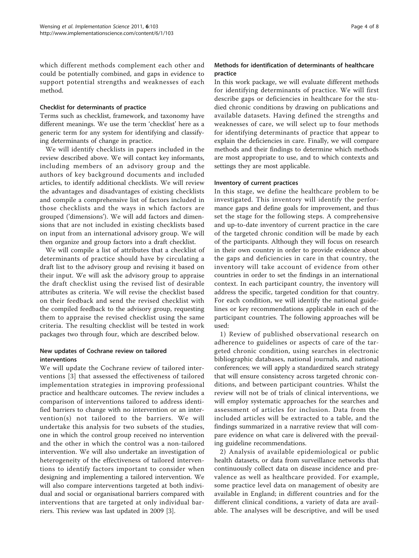which different methods complement each other and could be potentially combined, and gaps in evidence to support potential strengths and weaknesses of each method.

#### Checklist for determinants of practice

Terms such as checklist, framework, and taxonomy have different meanings. We use the term 'checklist' here as a generic term for any system for identifying and classifying determinants of change in practice.

We will identify checklists in papers included in the review described above. We will contact key informants, including members of an advisory group and the authors of key background documents and included articles, to identify additional checklists. We will review the advantages and disadvantages of existing checklists and compile a comprehensive list of factors included in those checklists and the ways in which factors are grouped ('dimensions'). We will add factors and dimensions that are not included in existing checklists based on input from an international advisory group. We will then organize and group factors into a draft checklist.

We will compile a list of attributes that a checklist of determinants of practice should have by circulating a draft list to the advisory group and revising it based on their input. We will ask the advisory group to appraise the draft checklist using the revised list of desirable attributes as criteria. We will revise the checklist based on their feedback and send the revised checklist with the compiled feedback to the advisory group, requesting them to appraise the revised checklist using the same criteria. The resulting checklist will be tested in work packages two through four, which are described below.

#### New updates of Cochrane review on tailored interventions

We will update the Cochrane review of tailored interventions [[3\]](#page-7-0) that assessed the effectiveness of tailored implementation strategies in improving professional practice and healthcare outcomes. The review includes a comparison of interventions tailored to address identified barriers to change with no intervention or an intervention(s) not tailored to the barriers. We will undertake this analysis for two subsets of the studies, one in which the control group received no intervention and the other in which the control was a non-tailored intervention. We will also undertake an investigation of heterogeneity of the effectiveness of tailored interventions to identify factors important to consider when designing and implementing a tailored intervention. We will also compare interventions targeted at both individual and social or organisational barriers compared with interventions that are targeted at only individual barriers. This review was last updated in 2009 [\[3](#page-7-0)].

# Methods for identification of determinants of healthcare practice

In this work package, we will evaluate different methods for identifying determinants of practice. We will first describe gaps or deficiencies in healthcare for the studied chronic conditions by drawing on publications and available datasets. Having defined the strengths and weaknesses of care, we will select up to four methods for identifying determinants of practice that appear to explain the deficiencies in care. Finally, we will compare methods and their findings to determine which methods are most appropriate to use, and to which contexts and settings they are most applicable.

#### Inventory of current practices

In this stage, we define the healthcare problem to be investigated. This inventory will identify the performance gaps and define goals for improvement, and thus set the stage for the following steps. A comprehensive and up-to-date inventory of current practice in the care of the targeted chronic condition will be made by each of the participants. Although they will focus on research in their own country in order to provide evidence about the gaps and deficiencies in care in that country, the inventory will take account of evidence from other countries in order to set the findings in an international context. In each participant country, the inventory will address the specific, targeted condition for that country. For each condition, we will identify the national guidelines or key recommendations applicable in each of the participant countries. The following approaches will be used:

1) Review of published observational research on adherence to guidelines or aspects of care of the targeted chronic condition, using searches in electronic bibliographic databases, national journals, and national conferences; we will apply a standardized search strategy that will ensure consistency across targeted chronic conditions, and between participant countries. Whilst the review will not be of trials of clinical interventions, we will employ systematic approaches for the searches and assessment of articles for inclusion. Data from the included articles will be extracted to a table, and the findings summarized in a narrative review that will compare evidence on what care is delivered with the prevailing guideline recommendations.

2) Analysis of available epidemiological or public health datasets, or data from surveillance networks that continuously collect data on disease incidence and prevalence as well as healthcare provided. For example, some practice level data on management of obesity are available in England; in different countries and for the different clinical conditions, a variety of data are available. The analyses will be descriptive, and will be used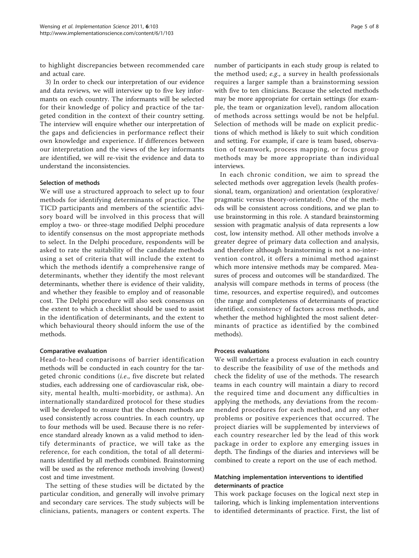to highlight discrepancies between recommended care and actual care.

3) In order to check our interpretation of our evidence and data reviews, we will interview up to five key informants on each country. The informants will be selected for their knowledge of policy and practice of the targeted condition in the context of their country setting. The interview will enquire whether our interpretation of the gaps and deficiencies in performance reflect their own knowledge and experience. If differences between our interpretation and the views of the key informants are identified, we will re-visit the evidence and data to understand the inconsistencies.

#### Selection of methods

We will use a structured approach to select up to four methods for identifying determinants of practice. The TICD participants and members of the scientific advisory board will be involved in this process that will employ a two- or three-stage modified Delphi procedure to identify consensus on the most appropriate methods to select. In the Delphi procedure, respondents will be asked to rate the suitability of the candidate methods using a set of criteria that will include the extent to which the methods identify a comprehensive range of determinants, whether they identify the most relevant determinants, whether there is evidence of their validity, and whether they feasible to employ and of reasonable cost. The Delphi procedure will also seek consensus on the extent to which a checklist should be used to assist in the identification of determinants, and the extent to which behavioural theory should inform the use of the methods.

#### Comparative evaluation

Head-to-head comparisons of barrier identification methods will be conducted in each country for the targeted chronic conditions (i.e., five discrete but related studies, each addressing one of cardiovascular risk, obesity, mental health, multi-morbidity, or asthma). An internationally standardized protocol for these studies will be developed to ensure that the chosen methods are used consistently across countries. In each country, up to four methods will be used. Because there is no reference standard already known as a valid method to identify determinants of practice, we will take as the reference, for each condition, the total of all determinants identified by all methods combined. Brainstorming will be used as the reference methods involving (lowest) cost and time investment.

The setting of these studies will be dictated by the particular condition, and generally will involve primary and secondary care services. The study subjects will be clinicians, patients, managers or content experts. The number of participants in each study group is related to the method used; e.g., a survey in health professionals requires a larger sample than a brainstorming session with five to ten clinicians. Because the selected methods may be more appropriate for certain settings (for example, the team or organization level), random allocation of methods across settings would be not be helpful. Selection of methods will be made on explicit predictions of which method is likely to suit which condition and setting. For example, if care is team based, observation of teamwork, process mapping, or focus group methods may be more appropriate than individual interviews.

In each chronic condition, we aim to spread the selected methods over aggregation levels (health professional, team, organization) and orientation (explorative/ pragmatic versus theory-orientated). One of the methods will be consistent across conditions, and we plan to use brainstorming in this role. A standard brainstorming session with pragmatic analysis of data represents a low cost, low intensity method. All other methods involve a greater degree of primary data collection and analysis, and therefore although brainstorming is not a no-intervention control, it offers a minimal method against which more intensive methods may be compared. Measures of process and outcomes will be standardized. The analysis will compare methods in terms of process (the time, resources, and expertise required), and outcomes (the range and completeness of determinants of practice identified, consistency of factors across methods, and whether the method highlighted the most salient determinants of practice as identified by the combined methods).

#### Process evaluations

We will undertake a process evaluation in each country to describe the feasibility of use of the methods and check the fidelity of use of the methods. The research teams in each country will maintain a diary to record the required time and document any difficulties in applying the methods, any deviations from the recommended procedures for each method, and any other problems or positive experiences that occurred. The project diaries will be supplemented by interviews of each country researcher led by the lead of this work package in order to explore any emerging issues in depth. The findings of the diaries and interviews will be combined to create a report on the use of each method.

#### Matching implementation interventions to identified determinants of practice

This work package focuses on the logical next step in tailoring, which is linking implementation interventions to identified determinants of practice. First, the list of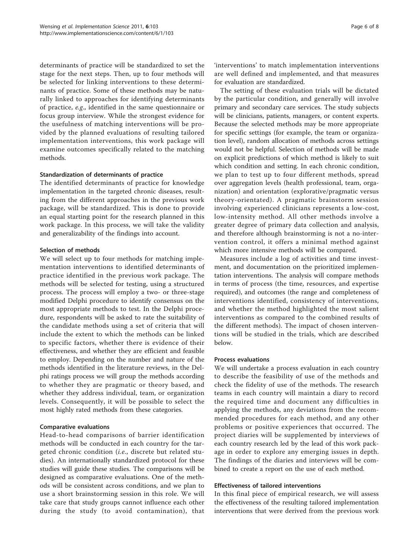determinants of practice will be standardized to set the stage for the next steps. Then, up to four methods will be selected for linking interventions to these determinants of practice. Some of these methods may be naturally linked to approaches for identifying determinants of practice, e.g., identified in the same questionnaire or focus group interview. While the strongest evidence for the usefulness of matching interventions will be provided by the planned evaluations of resulting tailored implementation interventions, this work package will examine outcomes specifically related to the matching methods.

#### Standardization of determinants of practice

The identified determinants of practice for knowledge implementation in the targeted chronic diseases, resulting from the different approaches in the previous work package, will be standardized. This is done to provide an equal starting point for the research planned in this work package. In this process, we will take the validity and generalizability of the findings into account.

#### Selection of methods

We will select up to four methods for matching implementation interventions to identified determinants of practice identified in the previous work package. The methods will be selected for testing, using a structured process. The process will employ a two- or three-stage modified Delphi procedure to identify consensus on the most appropriate methods to test. In the Delphi procedure, respondents will be asked to rate the suitability of the candidate methods using a set of criteria that will include the extent to which the methods can be linked to specific factors, whether there is evidence of their effectiveness, and whether they are efficient and feasible to employ. Depending on the number and nature of the methods identified in the literature reviews, in the Delphi ratings process we will group the methods according to whether they are pragmatic or theory based, and whether they address individual, team, or organization levels. Consequently, it will be possible to select the most highly rated methods from these categories.

#### Comparative evaluations

Head-to-head comparisons of barrier identification methods will be conducted in each country for the targeted chronic condition (i.e., discrete but related studies). An internationally standardized protocol for these studies will guide these studies. The comparisons will be designed as comparative evaluations. One of the methods will be consistent across conditions, and we plan to use a short brainstorming session in this role. We will take care that study groups cannot influence each other during the study (to avoid contamination), that

'interventions' to match implementation interventions are well defined and implemented, and that measures for evaluation are standardized.

The setting of these evaluation trials will be dictated by the particular condition, and generally will involve primary and secondary care services. The study subjects will be clinicians, patients, managers, or content experts. Because the selected methods may be more appropriate for specific settings (for example, the team or organization level), random allocation of methods across settings would not be helpful. Selection of methods will be made on explicit predictions of which method is likely to suit which condition and setting. In each chronic condition, we plan to test up to four different methods, spread over aggregation levels (health professional, team, organization) and orientation (explorative/pragmatic versus theory-orientated). A pragmatic brainstorm session involving experienced clinicians represents a low-cost, low-intensity method. All other methods involve a greater degree of primary data collection and analysis, and therefore although brainstorming is not a no-intervention control, it offers a minimal method against which more intensive methods will be compared.

Measures include a log of activities and time investment, and documentation on the prioritized implementation interventions. The analysis will compare methods in terms of process (the time, resources, and expertise required), and outcomes (the range and completeness of interventions identified, consistency of interventions, and whether the method highlighted the most salient interventions as compared to the combined results of the different methods). The impact of chosen interventions will be studied in the trials, which are described below.

## Process evaluations

We will undertake a process evaluation in each country to describe the feasibility of use of the methods and check the fidelity of use of the methods. The research teams in each country will maintain a diary to record the required time and document any difficulties in applying the methods, any deviations from the recommended procedures for each method, and any other problems or positive experiences that occurred. The project diaries will be supplemented by interviews of each country research led by the lead of this work package in order to explore any emerging issues in depth. The findings of the diaries and interviews will be combined to create a report on the use of each method.

#### Effectiveness of tailored interventions

In this final piece of empirical research, we will assess the effectiveness of the resulting tailored implementation interventions that were derived from the previous work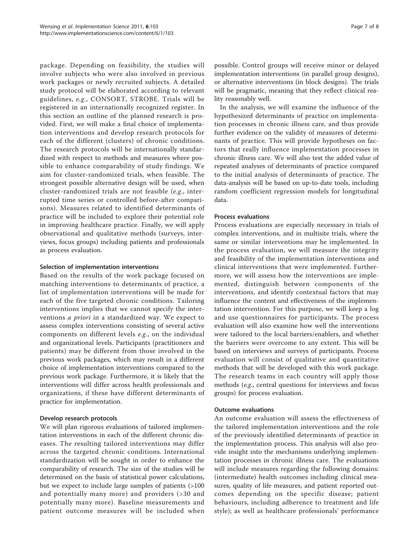package. Depending on feasibility, the studies will involve subjects who were also involved in previous work packages or newly recruited subjects. A detailed study protocol will be elaborated according to relevant guidelines, e.g., CONSORT, STROBE. Trials will be registered in an internationally recognized register. In this section an outline of the planned research is provided. First, we will make a final choice of implementation interventions and develop research protocols for each of the different (clusters) of chronic conditions. The research protocols will be internationally standardized with respect to methods and measures where possible to enhance comparability of study findings. We aim for cluster-randomized trials, when feasible. The strongest possible alternative design will be used, when cluster-randomized trials are not feasible (e.g., interrupted time series or controlled before-after comparisons). Measures related to identified determinants of practice will be included to explore their potential role in improving healthcare practice. Finally, we will apply observational and qualitative methods (surveys, interviews, focus groups) including patients and professionals as process evaluation.

#### Selection of implementation interventions

Based on the results of the work package focused on matching interventions to determinants of practice, a list of implementation interventions will be made for each of the five targeted chronic conditions. Tailoring interventions implies that we cannot specify the interventions a priori in a standardized way. We expect to assess complex interventions consisting of several active components on different levels e.g., on the individual and organizational levels. Participants (practitioners and patients) may be different from those involved in the previous work packages, which may result in a different choice of implementation interventions compared to the previous work package. Furthermore, it is likely that the interventions will differ across health professionals and organizations, if these have different determinants of practice for implementation.

#### Develop research protocols

We will plan rigorous evaluations of tailored implementation interventions in each of the different chronic diseases. The resulting tailored interventions may differ across the targeted chronic conditions. International standardization will be sought in order to enhance the comparability of research. The size of the studies will be determined on the basis of statistical power calculations, but we expect to include large samples of patients (>100 and potentially many more) and providers (>30 and potentially many more). Baseline measurements and patient outcome measures will be included when

possible. Control groups will receive minor or delayed implementation interventions (in parallel group designs), or alternative interventions (in block designs). The trials will be pragmatic, meaning that they reflect clinical reality reasonably well.

In the analysis, we will examine the influence of the hypothesized determinants of practice on implementation processes in chronic illness care, and thus provide further evidence on the validity of measures of determinants of practice. This will provide hypotheses on factors that really influence implementation processes in chronic illness care. We will also test the added value of repeated analyses of determinants of practice compared to the initial analysis of determinants of practice. The data-analysis will be based on up-to-date tools, including random coefficient regression models for longitudinal data.

#### Process evaluations

Process evaluations are especially necessary in trials of complex interventions, and in multisite trials, where the same or similar interventions may be implemented. In the process evaluation, we will measure the integrity and feasibility of the implementation interventions and clinical interventions that were implemented. Furthermore, we will assess how the interventions are implemented, distinguish between components of the interventions, and identify contextual factors that may influence the content and effectiveness of the implementation intervention. For this purpose, we will keep a log and use questionnaires for participants. The process evaluation will also examine how well the interventions were tailored to the local barriers/enablers, and whether the barriers were overcome to any extent. This will be based on interviews and surveys of participants. Process evaluation will consist of qualitative and quantitative methods that will be developed with this work package. The research teams in each country will apply those methods (e.g., central questions for interviews and focus groups) for process evaluation.

#### Outcome evaluations

An outcome evaluation will assess the effectiveness of the tailored implementation interventions and the role of the previously identified determinants of practice in the implementation process. This analysis will also provide insight into the mechanisms underlying implementation processes in chronic illness care. The evaluations will include measures regarding the following domains: (intermediate) health outcomes including clinical measures, quality of life measures, and patient reported outcomes depending on the specific disease; patient behaviours, including adherence to treatment and life style); as well as healthcare professionals' performance